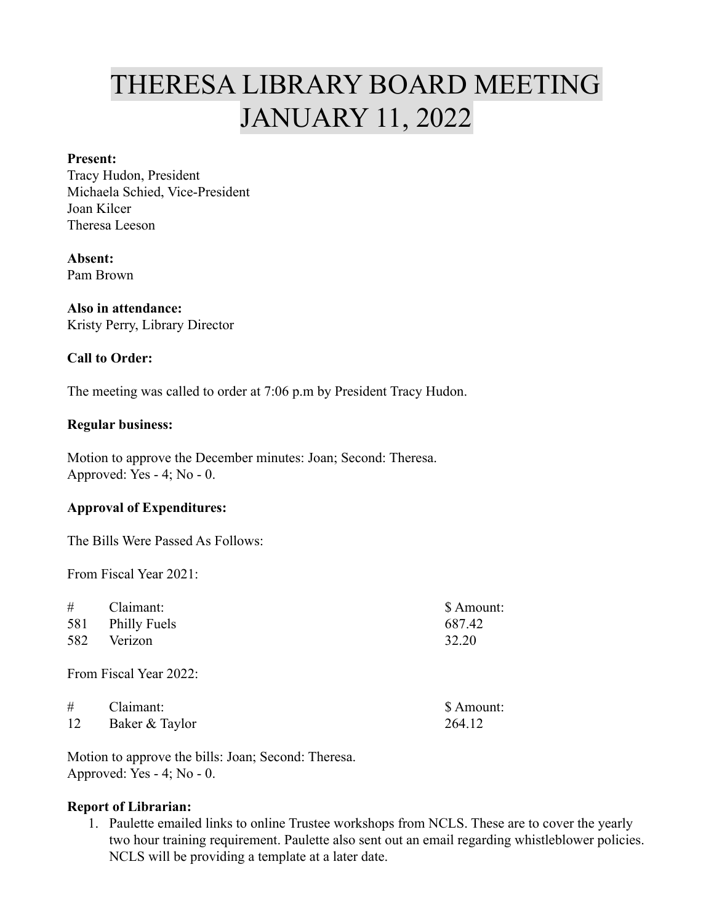# THERESA LIBRARY BOARD MEETING JANUARY 11, 2022

### **Present:**

Tracy Hudon, President Michaela Schied, Vice-President Joan Kilcer Theresa Leeson

## **Absent:**

Pam Brown

## **Also in attendance:**

Kristy Perry, Library Director

### **Call to Order:**

The meeting was called to order at 7:06 p.m by President Tracy Hudon.

#### **Regular business:**

Motion to approve the December minutes: Joan; Second: Theresa. Approved: Yes - 4; No - 0.

#### **Approval of Expenditures:**

The Bills Were Passed As Follows:

From Fiscal Year 2021:

| $\#$ Claimant:   | \$ Amount: |
|------------------|------------|
| 581 Philly Fuels | 687.42     |
| 582 Verizon      | 32.20      |
|                  |            |

From Fiscal Year 2022:

| #  | Claimant:      | \$ Amount: |
|----|----------------|------------|
| 12 | Baker & Taylor | 264.12     |

Motion to approve the bills: Joan; Second: Theresa. Approved: Yes - 4; No - 0.

## **Report of Librarian:**

1. Paulette emailed links to online Trustee workshops from NCLS. These are to cover the yearly two hour training requirement. Paulette also sent out an email regarding whistleblower policies. NCLS will be providing a template at a later date.